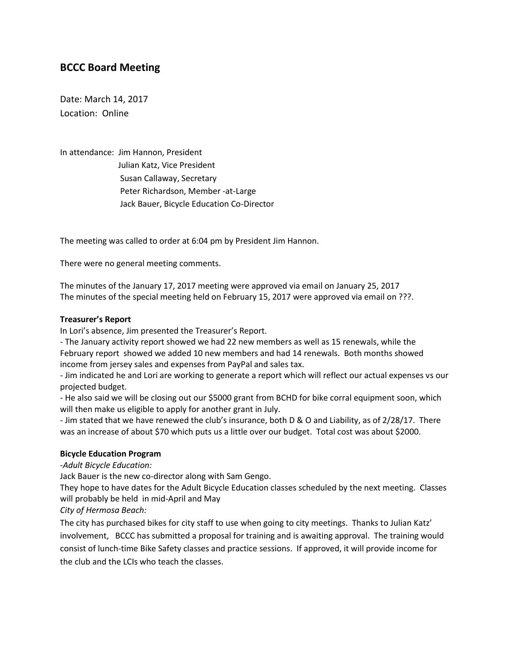# **BCCC Board Meeting**

Date: March 14, 2017 Location: Online

In attendance: Jim Hannon, President Julian Katz, Vice President Susan Callaway, Secretary Peter Richardson, Member -at-Large Jack Bauer, Bicycle Education Co-Director

The meeting was called to order at 6:04 pm by President Jim Hannon.

There were no general meeting comments.

The minutes of the January 17, 2017 meeting were approved via email on January 25, 2017 The minutes of the special meeting held on February 15, 2017 were approved via email on ???.

## **Treasurer's Report**

In Lori's absence, Jim presented the Treasurer's Report.

- The January activity report showed we had 22 new members as well as 15 renewals, while the February report showed we added 10 new members and had 14 renewals. Both months showed income from jersey sales and expenses from PayPal and sales tax.

- Jim indicated he and Lori are working to generate a report which will reflect our actual expenses vs our projected budget.

- He also said we will be closing out our \$5000 grant from BCHD for bike corral equipment soon, which will then make us eligible to apply for another grant in July.

- Jim stated that we have renewed the club's insurance, both D & O and Liability, as of 2/28/17. There was an increase of about \$70 which puts us a little over our budget. Total cost was about \$2000.

## **Bicycle Education Program**

*-Adult Bicycle Education:*

Jack Bauer is the new co-director along with Sam Gengo.

They hope to have dates for the Adult Bicycle Education classes scheduled by the next meeting. Classes will probably be held in mid-April and May

*City of Hermosa Beach:*

The city has purchased bikes for city staff to use when going to city meetings. Thanks to Julian Katz' involvement, BCCC has submitted a proposal for training and is awaiting approval. The training would consist of lunch-time Bike Safety classes and practice sessions. If approved, it will provide income for the club and the LCIs who teach the classes.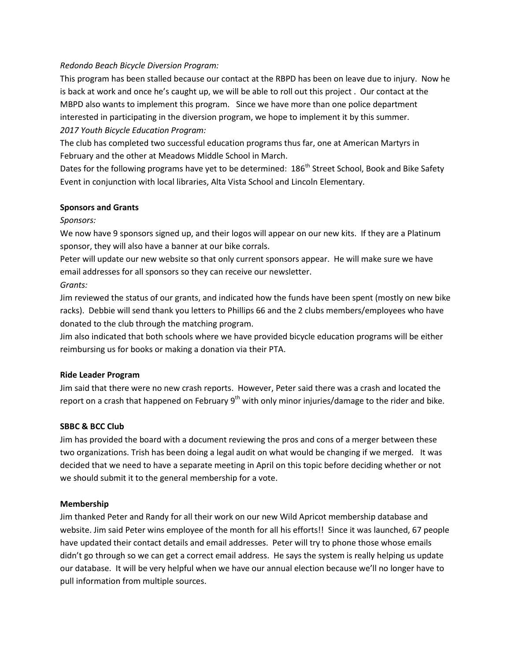## *Redondo Beach Bicycle Diversion Program:*

This program has been stalled because our contact at the RBPD has been on leave due to injury. Now he is back at work and once he's caught up, we will be able to roll out this project . Our contact at the MBPD also wants to implement this program. Since we have more than one police department interested in participating in the diversion program, we hope to implement it by this summer. *2017 Youth Bicycle Education Program:*

The club has completed two successful education programs thus far, one at American Martyrs in February and the other at Meadows Middle School in March.

Dates for the following programs have yet to be determined: 186<sup>th</sup> Street School, Book and Bike Safety Event in conjunction with local libraries, Alta Vista School and Lincoln Elementary.

## **Sponsors and Grants**

# *Sponsors:*

We now have 9 sponsors signed up, and their logos will appear on our new kits. If they are a Platinum sponsor, they will also have a banner at our bike corrals.

Peter will update our new website so that only current sponsors appear. He will make sure we have email addresses for all sponsors so they can receive our newsletter.

*Grants:*

Jim reviewed the status of our grants, and indicated how the funds have been spent (mostly on new bike racks). Debbie will send thank you letters to Phillips 66 and the 2 clubs members/employees who have donated to the club through the matching program.

Jim also indicated that both schools where we have provided bicycle education programs will be either reimbursing us for books or making a donation via their PTA.

## **Ride Leader Program**

Jim said that there were no new crash reports. However, Peter said there was a crash and located the report on a crash that happened on February  $9<sup>th</sup>$  with only minor injuries/damage to the rider and bike.

# **SBBC & BCC Club**

Jim has provided the board with a document reviewing the pros and cons of a merger between these two organizations. Trish has been doing a legal audit on what would be changing if we merged. It was decided that we need to have a separate meeting in April on this topic before deciding whether or not we should submit it to the general membership for a vote.

## **Membership**

Jim thanked Peter and Randy for all their work on our new Wild Apricot membership database and website. Jim said Peter wins employee of the month for all his efforts!! Since it was launched, 67 people have updated their contact details and email addresses. Peter will try to phone those whose emails didn't go through so we can get a correct email address. He says the system is really helping us update our database. It will be very helpful when we have our annual election because we'll no longer have to pull information from multiple sources.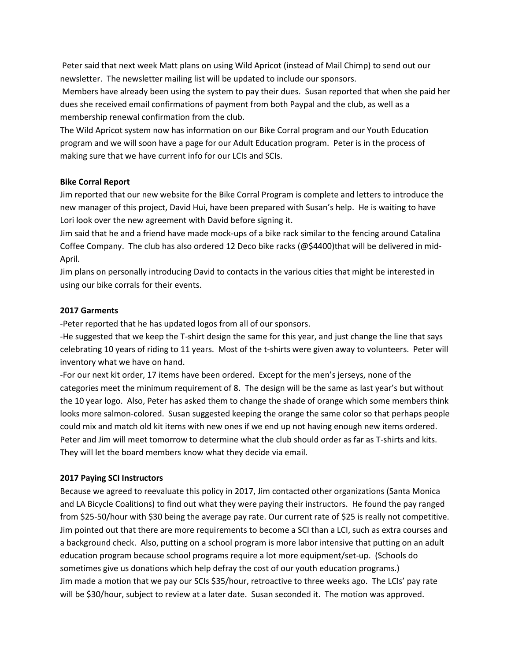Peter said that next week Matt plans on using Wild Apricot (instead of Mail Chimp) to send out our newsletter. The newsletter mailing list will be updated to include our sponsors.

Members have already been using the system to pay their dues. Susan reported that when she paid her dues she received email confirmations of payment from both Paypal and the club, as well as a membership renewal confirmation from the club.

The Wild Apricot system now has information on our Bike Corral program and our Youth Education program and we will soon have a page for our Adult Education program. Peter is in the process of making sure that we have current info for our LCIs and SCIs.

## **Bike Corral Report**

Jim reported that our new website for the Bike Corral Program is complete and letters to introduce the new manager of this project, David Hui, have been prepared with Susan's help. He is waiting to have Lori look over the new agreement with David before signing it.

Jim said that he and a friend have made mock-ups of a bike rack similar to the fencing around Catalina Coffee Company. The club has also ordered 12 Deco bike racks (@\$4400)that will be delivered in mid-April.

Jim plans on personally introducing David to contacts in the various cities that might be interested in using our bike corrals for their events.

## **2017 Garments**

-Peter reported that he has updated logos from all of our sponsors.

-He suggested that we keep the T-shirt design the same for this year, and just change the line that says celebrating 10 years of riding to 11 years. Most of the t-shirts were given away to volunteers. Peter will inventory what we have on hand.

-For our next kit order, 17 items have been ordered. Except for the men's jerseys, none of the categories meet the minimum requirement of 8. The design will be the same as last year's but without the 10 year logo. Also, Peter has asked them to change the shade of orange which some members think looks more salmon-colored. Susan suggested keeping the orange the same color so that perhaps people could mix and match old kit items with new ones if we end up not having enough new items ordered. Peter and Jim will meet tomorrow to determine what the club should order as far as T-shirts and kits. They will let the board members know what they decide via email.

## **2017 Paying SCI Instructors**

Because we agreed to reevaluate this policy in 2017, Jim contacted other organizations (Santa Monica and LA Bicycle Coalitions) to find out what they were paying their instructors. He found the pay ranged from \$25-50/hour with \$30 being the average pay rate. Our current rate of \$25 is really not competitive. Jim pointed out that there are more requirements to become a SCI than a LCI, such as extra courses and a background check. Also, putting on a school program is more labor intensive that putting on an adult education program because school programs require a lot more equipment/set-up. (Schools do sometimes give us donations which help defray the cost of our youth education programs.) Jim made a motion that we pay our SCIs \$35/hour, retroactive to three weeks ago. The LCIs' pay rate will be \$30/hour, subject to review at a later date. Susan seconded it. The motion was approved.